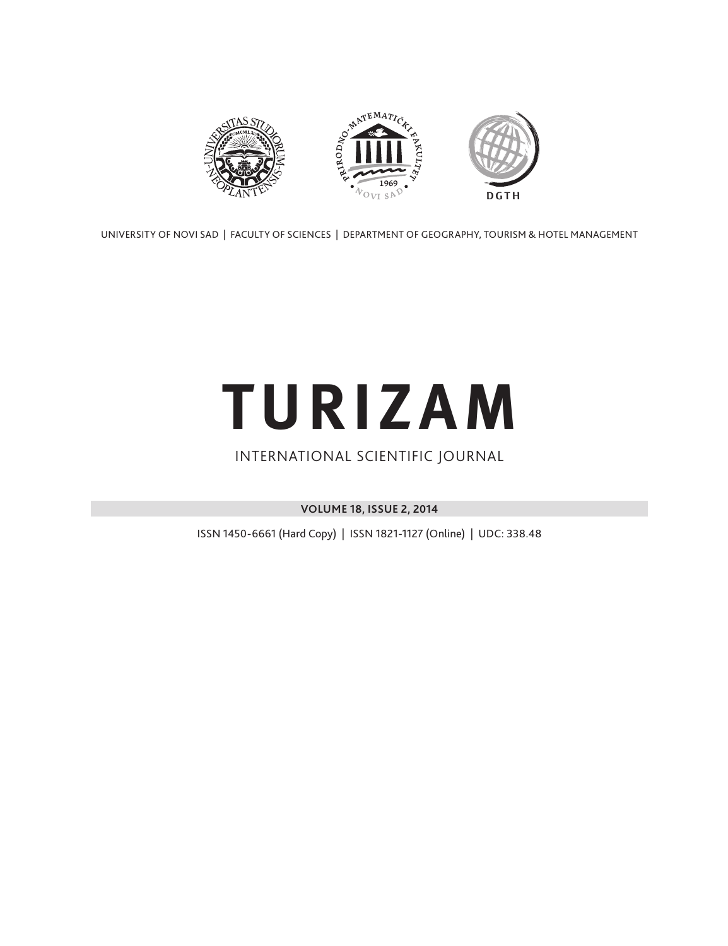

UNIVERSITY OF NOVI SAD | FACULTY OF SCIENCES | DEPARTMENT OF GEOGRAPHY, TOURISM & HOTEL MANAGEMENT

# **TURIZAM**

### INTERNATIONAL SCIENTIFIC JOURNAL

**VOLUME 18, ISSUE 2, 2014**

ISSN 1450-6661 (Hard Copy) | ISSN 1821-1127 (Online) | UDC: 338.48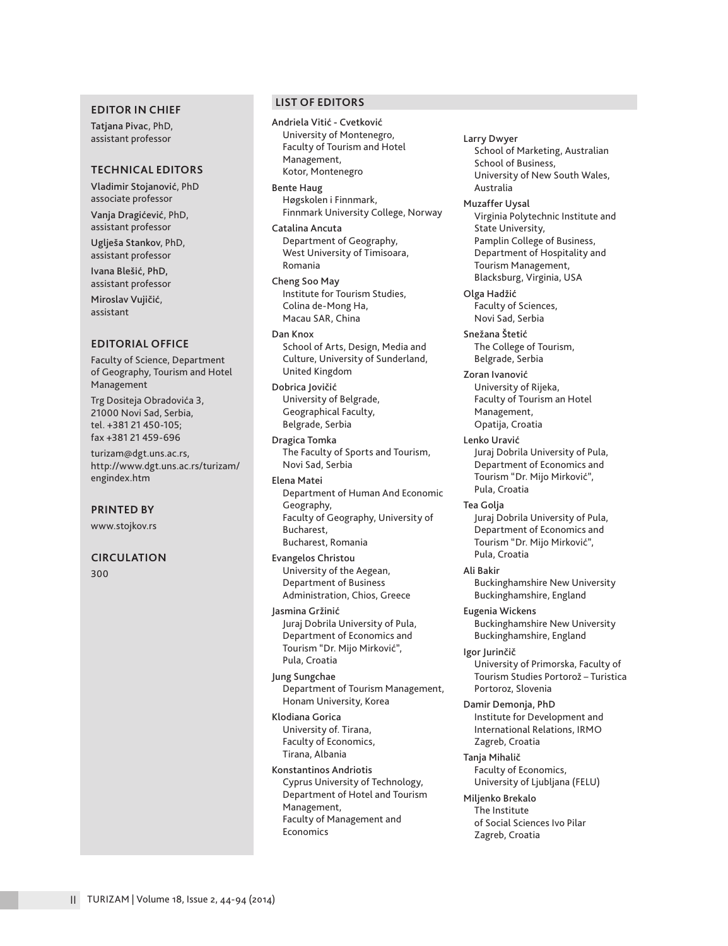#### **EDITOR IN CHIEF**

Tatjana Pivac, PhD, assistant professor

#### **TECHNICAL EDITORS**

Vladimir Stojanović, PhD associate professor

Vanja Dragićević, PhD, assistant professor Uglješa Stankov, PhD,

assistant professor

Ivana Blešić, PhD, assistant professor

Miroslav Vujičić, assistant

#### **EDITORIAL OFFICE**

Faculty of Science, Department of Geography, Tourism and Hotel Management

Trg Dositeja Obradovića 3, 21000 Novi Sad, Serbia, tel. +381 21 450-105; fax +381 21 459-696

turizam@dgt.uns.ac.rs, http://www.dgt.uns.ac.rs/turizam/ engindex.htm

**PRINTED BY**

www.stojkov.rs

#### **CIRCULATION**

300

#### **LIST OF EDITORS**

Andriela Vitić - Cvetković University of Montenegro, Faculty of Tourism and Hotel Management, Kotor, Montenegro

Bente Haug Høgskolen i Finnmark, Finnmark University College, Norway

Catalina Ancuta Department of Geography, West University of Timisoara, Romania

Cheng Soo May Institute for Tourism Studies, Colina de-Mong Ha, Macau SAR, China

Dan Knox School of Arts, Design, Media and Culture, University of Sunderland, United Kingdom

Dobrica Jovičić University of Belgrade, Geographical Faculty, Belgrade, Serbia

Dragica Tomka The Faculty of Sports and Tourism, Novi Sad, Serbia

Elena Matei Department of Human And Economic Geography, Faculty of Geography, University of Bucharest, Bucharest, Romania

Evangelos Christou University of the Aegean, Department of Business Administration, Chios, Greece

Jasmina Gržinić Juraj Dobrila University of Pula, Department of Economics and Tourism "Dr. Mijo Mirković", Pula, Croatia

Jung Sungchae Department of Tourism Management, Honam University, Korea

Klodiana Gorica University of. Tirana, Faculty of Economics, Tirana, Albania

Konstantinos Andriotis Cyprus University of Technology, Department of Hotel and Tourism Management, Faculty of Management and Economics

Larry Dwyer School of Marketing, Australian School of Business, University of New South Wales, Australia

Muzaffer Uysal

Virginia Polytechnic Institute and State University, Pamplin College of Business, Department of Hospitality and Tourism Management, Blacksburg, Virginia, USA

Olga Hadžić Faculty of Sciences, Novi Sad, Serbia

Snežana Štetić The College of Tourism, Belgrade, Serbia

Zoran Ivanović University of Rijeka, Faculty of Tourism an Hotel Management, Opatija, Croatia

Lenko Uravić Juraj Dobrila University of Pula, Department of Economics and Tourism "Dr. Mijo Mirković", Pula, Croatia

Tea Golja Juraj Dobrila University of Pula, Department of Economics and Tourism "Dr. Mijo Mirković", Pula, Croatia

Ali Bakir Buckinghamshire New University Buckinghamshire, England

Eugenia Wickens Buckinghamshire New University Buckinghamshire, England

Igor Jurinčič University of Primorska, Faculty of Tourism Studies Portorož – Turistica Portoroz, Slovenia

Damir Demonja, PhD Institute for Development and International Relations, IRMO Zagreb, Croatia

Tanja Mihalič Faculty of Economics, University of Ljubljana (FELU)

Miljenko Brekalo The Institute of Social Sciences Ivo Pilar Zagreb, Croatia